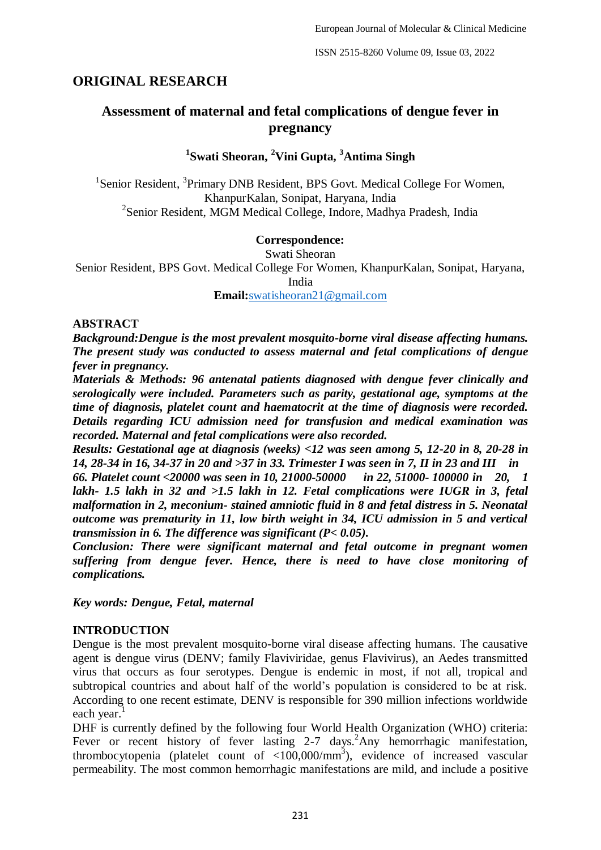## **ORIGINAL RESEARCH**

# **Assessment of maternal and fetal complications of dengue fever in pregnancy**

## **1 Swati Sheoran, <sup>2</sup>Vini Gupta, <sup>3</sup>Antima Singh**

<sup>1</sup>Senior Resident, <sup>3</sup>Primary DNB Resident, BPS Govt. Medical College For Women, KhanpurKalan, Sonipat, Haryana, India <sup>2</sup>Senior Resident, MGM Medical College, Indore, Madhya Pradesh, India

#### **Correspondence:**

Swati Sheoran

Senior Resident, BPS Govt. Medical College For Women, KhanpurKalan, Sonipat, Haryana,

India

**Email:**[swatisheoran21@gmail.com](mailto:swatisheoran21@gmail.com)

#### **ABSTRACT**

*Background:Dengue is the most prevalent mosquito-borne viral disease affecting humans. The present study was conducted to assess maternal and fetal complications of dengue fever in pregnancy.*

*Materials & Methods: 96 antenatal patients diagnosed with dengue fever clinically and serologically were included. Parameters such as parity, gestational age, symptoms at the time of diagnosis, platelet count and haematocrit at the time of diagnosis were recorded. Details regarding ICU admission need for transfusion and medical examination was recorded. Maternal and fetal complications were also recorded.*

*Results: Gestational age at diagnosis (weeks) <12 was seen among 5, 12-20 in 8, 20-28 in 14, 28-34 in 16, 34-37 in 20 and >37 in 33. Trimester I was seen in 7, II in 23 and III in* 

*66. Platelet count <20000 was seen in 10, 21000-50000 in 22, 51000- 100000 in 20, 1 lakh- 1.5 lakh in 32 and >1.5 lakh in 12. Fetal complications were IUGR in 3, fetal malformation in 2, meconium- stained amniotic fluid in 8 and fetal distress in 5. Neonatal outcome was prematurity in 11, low birth weight in 34, ICU admission in 5 and vertical transmission in 6. The difference was significant (P< 0.05).*

*Conclusion: There were significant maternal and fetal outcome in pregnant women suffering from dengue fever. Hence, there is need to have close monitoring of complications.*

*Key words: Dengue, Fetal, maternal*

### **INTRODUCTION**

Dengue is the most prevalent mosquito-borne viral disease affecting humans. The causative agent is dengue virus (DENV; family Flaviviridae, genus Flavivirus), an Aedes transmitted virus that occurs as four serotypes. Dengue is endemic in most, if not all, tropical and subtropical countries and about half of the world's population is considered to be at risk. According to one recent estimate, DENV is responsible for 390 million infections worldwide each year.

DHF is currently defined by the following four World Health Organization (WHO) criteria: Fever or recent history of fever lasting 2-7 days.<sup>2</sup>Any hemorrhagic manifestation, thrombocytopenia (platelet count of  $\langle 100,000/\text{mm}^3 \rangle$ , evidence of increased vascular permeability. The most common hemorrhagic manifestations are mild, and include a positive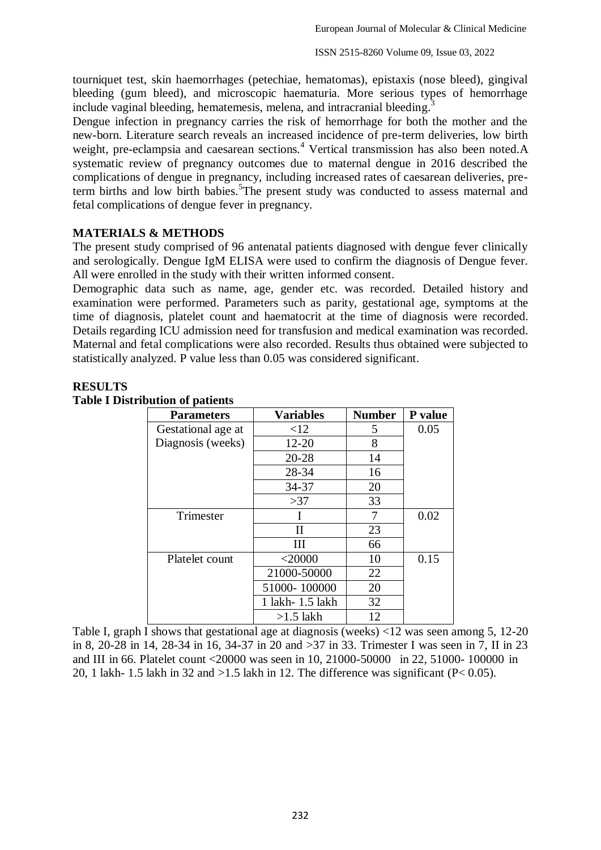tourniquet test, skin haemorrhages (petechiae, hematomas), epistaxis (nose bleed), gingival bleeding (gum bleed), and microscopic haematuria. More serious types of hemorrhage include vaginal bleeding, hematemesis, melena, and intracranial bleeding.<sup>3</sup>

Dengue infection in pregnancy carries the risk of hemorrhage for both the mother and the new-born. Literature search reveals an increased incidence of pre-term deliveries, low birth weight, pre-eclampsia and caesarean sections.<sup>4</sup> Vertical transmission has also been noted.A systematic review of pregnancy outcomes due to maternal dengue in 2016 described the complications of dengue in pregnancy, including increased rates of caesarean deliveries, preterm births and low birth babies.<sup>5</sup>The present study was conducted to assess maternal and fetal complications of dengue fever in pregnancy.

## **MATERIALS & METHODS**

The present study comprised of 96 antenatal patients diagnosed with dengue fever clinically and serologically. Dengue IgM ELISA were used to confirm the diagnosis of Dengue fever. All were enrolled in the study with their written informed consent.

Demographic data such as name, age, gender etc. was recorded. Detailed history and examination were performed. Parameters such as parity, gestational age, symptoms at the time of diagnosis, platelet count and haematocrit at the time of diagnosis were recorded. Details regarding ICU admission need for transfusion and medical examination was recorded. Maternal and fetal complications were also recorded. Results thus obtained were subjected to statistically analyzed. P value less than 0.05 was considered significant.

## **RESULTS**

| <b>Parameters</b>  | <b>Variables</b>  | <b>Number</b> | P value |
|--------------------|-------------------|---------------|---------|
| Gestational age at | <12               | 5             | 0.05    |
| Diagnosis (weeks)  | $12 - 20$         | 8             |         |
|                    | $20 - 28$         | 14            |         |
|                    | 28-34             | 16            |         |
|                    | 34-37             | 20            |         |
|                    | >37               | 33            |         |
| Trimester          |                   | 7             | 0.02    |
|                    | Н                 | 23            |         |
|                    | Ш                 | 66            |         |
| Platelet count     | $<$ 20000         | 10            | 0.15    |
|                    | 21000-50000       | 22            |         |
|                    | 51000-100000      | 20            |         |
|                    | 1 lakh - 1.5 lakh | 32            |         |
|                    | $>1.5$ lakh       | 12            |         |

### **Table I Distribution of patients**

Table I, graph I shows that gestational age at diagnosis (weeks) <12 was seen among 5, 12-20 in 8, 20-28 in 14, 28-34 in 16, 34-37 in 20 and >37 in 33. Trimester I was seen in 7, II in 23 and III in 66. Platelet count <20000 was seen in 10, 21000-50000 in 22, 51000- 100000 in 20, 1 lakh- 1.5 lakh in 32 and  $>1.5$  lakh in 12. The difference was significant (P< 0.05).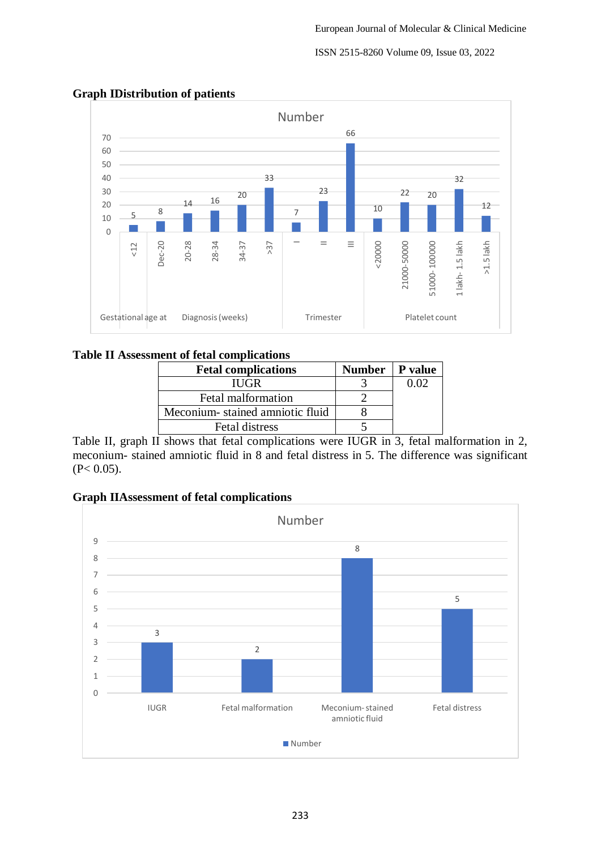#### ISSN 2515-8260 Volume 09, Issue 03, 2022



## **Graph IDistribution of patients**

## **Table II Assessment of fetal complications**

| <b>Fetal complications</b>      | Number   P value |  |
|---------------------------------|------------------|--|
| <b>IUGR</b>                     |                  |  |
| Fetal malformation              |                  |  |
| Meconium-stained amniotic fluid |                  |  |
| Fetal distress                  |                  |  |

Table II, graph II shows that fetal complications were IUGR in 3, fetal malformation in 2, meconium- stained amniotic fluid in 8 and fetal distress in 5. The difference was significant  $(P< 0.05)$ .

### **Graph IIAssessment of fetal complications**

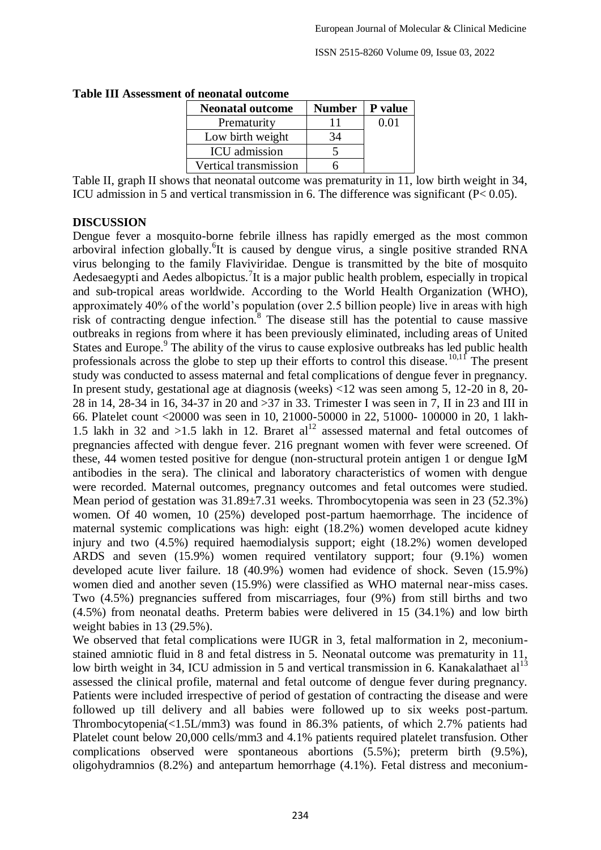| $\ddotsc$               |               |                |
|-------------------------|---------------|----------------|
| <b>Neonatal outcome</b> | <b>Number</b> | <b>P</b> value |
| Prematurity             | 11            | 0.01           |
| Low birth weight        | 34            |                |
| <b>ICU</b> admission    |               |                |
| Vertical transmission   |               |                |

**Table III Assessment of neonatal outcome**

Table II, graph II shows that neonatal outcome was prematurity in 11, low birth weight in 34, ICU admission in 5 and vertical transmission in 6. The difference was significant (P< 0.05).

### **DISCUSSION**

Dengue fever a mosquito-borne febrile illness has rapidly emerged as the most common arboviral infection globally. <sup>6</sup>It is caused by dengue virus, a single positive stranded RNA virus belonging to the family Flaviviridae. Dengue is transmitted by the bite of mosquito Aedesaegypti and Aedes albopictus.<sup>7</sup>It is a major public health problem, especially in tropical and sub-tropical areas worldwide. According to the World Health Organization (WHO), approximately 40% of the world's population (over 2.5 billion people) live in areas with high risk of contracting dengue infection.<sup>8</sup> The disease still has the potential to cause massive outbreaks in regions from where it has been previously eliminated, including areas of United States and Europe.<sup>9</sup> The ability of the virus to cause explosive outbreaks has led public health professionals across the globe to step up their efforts to control this disease.<sup>10,11</sup> The present study was conducted to assess maternal and fetal complications of dengue fever in pregnancy. In present study, gestational age at diagnosis (weeks) <12 was seen among 5, 12-20 in 8, 20- 28 in 14, 28-34 in 16, 34-37 in 20 and >37 in 33. Trimester I was seen in 7, II in 23 and III in 66. Platelet count <20000 was seen in 10, 21000-50000 in 22, 51000- 100000 in 20, 1 lakh-1.5 lakh in 32 and >1.5 lakh in 12. Braret  $al<sup>12</sup>$  assessed maternal and fetal outcomes of pregnancies affected with dengue fever. 216 pregnant women with fever were screened. Of these, 44 women tested positive for dengue (non-structural protein antigen 1 or dengue IgM antibodies in the sera). The clinical and laboratory characteristics of women with dengue were recorded. Maternal outcomes, pregnancy outcomes and fetal outcomes were studied. Mean period of gestation was 31.89±7.31 weeks. Thrombocytopenia was seen in 23 (52.3%) women. Of 40 women, 10 (25%) developed post-partum haemorrhage. The incidence of maternal systemic complications was high: eight (18.2%) women developed acute kidney injury and two (4.5%) required haemodialysis support; eight (18.2%) women developed ARDS and seven (15.9%) women required ventilatory support; four (9.1%) women developed acute liver failure. 18 (40.9%) women had evidence of shock. Seven (15.9%) women died and another seven (15.9%) were classified as WHO maternal near-miss cases. Two (4.5%) pregnancies suffered from miscarriages, four (9%) from still births and two (4.5%) from neonatal deaths. Preterm babies were delivered in 15 (34.1%) and low birth weight babies in 13 (29.5%).

We observed that fetal complications were IUGR in 3, fetal malformation in 2, meconiumstained amniotic fluid in 8 and fetal distress in 5. Neonatal outcome was prematurity in 11, low birth weight in 34, ICU admission in 5 and vertical transmission in 6. Kanakalathaet  $al<sup>13</sup>$ assessed the clinical profile, maternal and fetal outcome of dengue fever during pregnancy. Patients were included irrespective of period of gestation of contracting the disease and were followed up till delivery and all babies were followed up to six weeks post-partum. Thrombocytopenia(<1.5L/mm3) was found in 86.3% patients, of which 2.7% patients had Platelet count below 20,000 cells/mm3 and 4.1% patients required platelet transfusion. Other complications observed were spontaneous abortions (5.5%); preterm birth (9.5%), oligohydramnios (8.2%) and antepartum hemorrhage (4.1%). Fetal distress and meconium